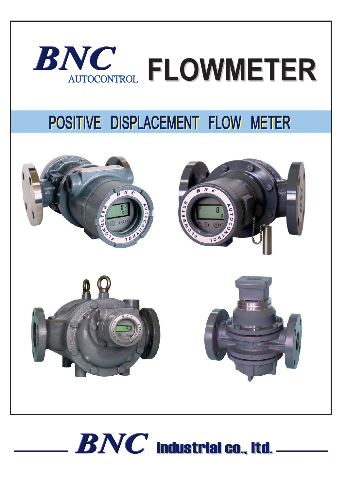

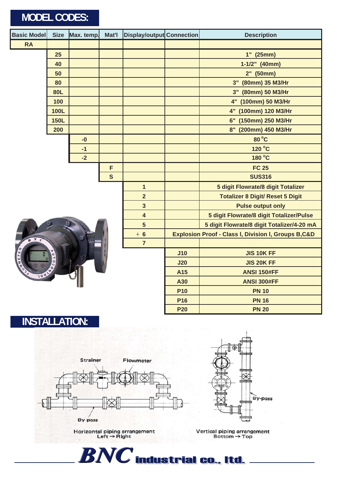| Size Max. temp.<br><b>Basic Model</b><br>Mat'l |             |      | Display/output Connection |                         | <b>Description</b>                                             |                                         |  |  |
|------------------------------------------------|-------------|------|---------------------------|-------------------------|----------------------------------------------------------------|-----------------------------------------|--|--|
| <b>RA</b>                                      |             |      |                           |                         |                                                                |                                         |  |  |
|                                                | 25          |      |                           |                         |                                                                | $1"$ (25mm)                             |  |  |
|                                                | 40          |      |                           |                         |                                                                | $1-1/2"$ (40mm)                         |  |  |
|                                                | 50          |      |                           |                         |                                                                | 2" (50mm)                               |  |  |
|                                                | 80          |      |                           |                         |                                                                | 3" (80mm) 35 M3/Hr                      |  |  |
| <b>80L</b>                                     |             |      |                           |                         |                                                                | 3" (80mm) 50 M3/Hr                      |  |  |
|                                                | 100         |      |                           |                         |                                                                | 4" (100mm) 50 M3/Hr                     |  |  |
|                                                | <b>100L</b> |      |                           |                         |                                                                | 4" (100mm) 120 M3/Hr                    |  |  |
|                                                | <b>150L</b> |      |                           |                         |                                                                | 6" (150mm) 250 M3/Hr                    |  |  |
|                                                | 200         |      |                           |                         |                                                                | 8" (200mm) 450 M3/Hr                    |  |  |
|                                                |             | $-0$ |                           |                         |                                                                | 80 °C                                   |  |  |
|                                                |             | $-1$ |                           |                         |                                                                | 120 °C                                  |  |  |
|                                                |             | $-2$ |                           |                         |                                                                | 180 °C                                  |  |  |
|                                                |             |      | F                         |                         |                                                                | <b>FC 25</b>                            |  |  |
|                                                |             |      | $\mathbf{s}$              |                         |                                                                | <b>SUS316</b>                           |  |  |
|                                                |             |      |                           | $\mathbf{1}$            |                                                                | 5 digit Flowrate/8 digit Totalizer      |  |  |
|                                                |             |      |                           | $\overline{2}$          |                                                                | <b>Totalizer 8 Digit/ Reset 5 Digit</b> |  |  |
|                                                |             |      |                           | $\overline{\mathbf{3}}$ |                                                                | <b>Pulse output only</b>                |  |  |
|                                                |             |      |                           | $\overline{\mathbf{4}}$ | 5 digit Flowrate/8 digit Totalizer/Pulse                       |                                         |  |  |
|                                                |             |      |                           | $5\phantom{1}$          | 5 digit Flowrate/8 digit Totalizer/4-20 mA                     |                                         |  |  |
| -N                                             |             |      |                           | $+6$                    | <b>Explosion Proof - Class I, Division I, Groups B,C&amp;D</b> |                                         |  |  |
|                                                |             |      |                           | $\overline{7}$          |                                                                |                                         |  |  |
|                                                |             |      |                           |                         | J10                                                            | <b>JIS 10K FF</b>                       |  |  |
|                                                | <b>TOUR</b> |      |                           |                         | J20                                                            | <b>JIS 20K FF</b>                       |  |  |
|                                                |             |      |                           |                         | A15<br><b>ANSI 150#FF</b>                                      |                                         |  |  |
|                                                |             |      |                           |                         | A30                                                            | <b>ANSI 300#FF</b>                      |  |  |
|                                                |             |      |                           |                         | <b>P10</b>                                                     | <b>PN 10</b>                            |  |  |
|                                                |             |      |                           |                         | P <sub>16</sub>                                                | <b>PN 16</b>                            |  |  |
|                                                |             |      |                           |                         | <b>P20</b>                                                     | <b>PN 20</b>                            |  |  |

**INSTALLATION:**



 $\begin{array}{c} \text{Horizontal piping arrangement} \\ \text{Left} \rightarrow \text{Right} \end{array}$ 



Vertical piping arrangement<br>Bottom  $\rightarrow$  Top

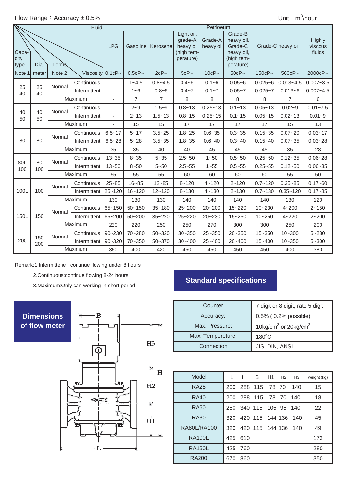|                       |                |               | <b>Fluid</b>        | Petrloeum  |                |                |                                                              |                     |                                                                           |                  |                |                                    |
|-----------------------|----------------|---------------|---------------------|------------|----------------|----------------|--------------------------------------------------------------|---------------------|---------------------------------------------------------------------------|------------------|----------------|------------------------------------|
| Capa-<br>city<br>type | Terms.<br>Dia- |               |                     | <b>LPG</b> | Gasoline       | Kerosene       | Light oil,<br>grade-A<br>heavy oi<br>(high tem-<br>perature) | Grade-A<br>heavy oi | Grade-B<br>heavy oil.<br>Grade-C<br>heavy oil,<br>(high tem-<br>perature) | Grade-C heavy oi |                | <b>Highly</b><br>viscous<br>fluids |
| Note 1                | meter          | Note 2        | Viscosity $0.1cP -$ |            | $0.5cP -$      | $2cP -$        | $5cP -$                                                      | $10cP -$            | $50cP -$                                                                  | $150cP -$        | $500cP -$      | 2000cP~                            |
|                       |                | Normal        | Continuous          |            | $1 - 4.5$      | $0.8 - 4.5$    | $0.4 - 6$                                                    | $0.1 - 6$           | $0.05 - 6$                                                                | $0.025 - 6$      | $0.013 - 4.5$  | $0.007 - 3.5$                      |
| 25<br>40              | 25<br>40       |               | Intermittent        | ä,         | $1 - 6$        | $0.8 - 6$      | $0.4 - 7$                                                    | $0.1 - 7$           | $0.05 - 7$                                                                | $0.025 - 7$      | $0.013 - 6$    | $0.007 - 4.5$                      |
|                       |                |               | Maximum             | ä,         | $\overline{7}$ | $\overline{7}$ | 8                                                            | 8                   | 8                                                                         | 8                | $\overline{7}$ | 6                                  |
|                       | 40<br>50       | Normal        | Continuous          |            | $2 - 9$        | $1.5 - 9$      | $0.8 - 13$                                                   | $0.25 - 13$         | $0.1 - 13$                                                                | $0.05 - 13$      | $0.02 - 9$     | $0.01 - 7.5$                       |
| 40<br>50              |                |               | Intermittent        | ä,         | $2 - 13$       | $1.5 - 13$     | $0.8 - 15$                                                   | $0.25 - 15$         | $0.1 - 15$                                                                | $0.05 - 15$      | $0.02 - 13$    | $0.01 - 9$                         |
|                       |                | Maximum       |                     | L.         | 15             | 15             | 17                                                           | 17                  | 17                                                                        | 17               | 15             | 13                                 |
|                       | 80             | Normal        | Continuous          | $6.5 - 17$ | $5 - 17$       | $3.5 - 25$     | $1.8 - 25$                                                   | $0.6 - 35$          | $0.3 - 35$                                                                | $0.15 - 35$      | $0.07 - 20$    | $0.03 - 17$                        |
| 80                    |                |               | Intermittent        | $6.5 - 28$ | $5 - 28$       | $3.5 - 35$     | $1.8 - 35$                                                   | $0.6 - 40$          | $0.3 - 40$                                                                | $0.15 - 40$      | $0.07 - 35$    | $0.03 - 28$                        |
|                       |                | Maximum       |                     | 35         | 35             | 40             | 40                                                           | 45                  | 45                                                                        | 45               | 35             | 28                                 |
|                       | 80<br>100      | Normal        | Continuous          | $13 - 35$  | $8 - 35$       | $5 - 35$       | $2.5 - 50$                                                   | $1 - 50$            | $0.5 - 50$                                                                | $0.25 - 50$      | $0.12 - 35$    | $0.06 - 28$                        |
| 80L<br>100            |                |               | Intermittent        | $13 - 50$  | $8 - 50$       | $5 - 50$       | $2.5 - 55$                                                   | $1 - 55$            | $0.5 - 55$                                                                | $0.25 - 55$      | $0.12 - 50$    | $0.06 - 35$                        |
|                       |                | Maximum       |                     | 55         | 55             | 55             | 60                                                           | 60                  | 60                                                                        | 60               | 55             | 50                                 |
|                       |                | Normal        | Continuous          | $25 - 85$  | $16 - 85$      | $12 - 85$      | $8 - 120$                                                    | $4 - 120$           | $2 - 120$                                                                 | $0.7 - 120$      | $0.35 - 85$    | $0.17 - 60$                        |
| 100L                  | 100            |               | Intermittent        | $25 - 120$ | $16 - 120$     | $12 - 120$     | $8 - 130$                                                    | $4 - 130$           | $2 - 130$                                                                 | $0.7 - 130$      | $0.35 - 120$   | $0.17 - 85$                        |
|                       |                | Maximum       |                     | 130        | 130            | 130            | 140                                                          | 140                 | 140                                                                       | 140              | 130            | 120                                |
|                       |                | Normal        | Continuous          | $65 - 150$ | $50 - 150$     | $35 - 180$     | 25~200                                                       | 20~200              | 15~220                                                                    | $10 - 230$       | $4 - 200$      | $2 - 150$                          |
| 150L                  | 150            |               | Intermittent        | 65~200     | $50 - 200$     | $35 - 220$     | $25 - 220$                                                   | $20 - 230$          | $15 - 250$                                                                | $10 - 250$       | $4 - 220$      | $2 - 200$                          |
|                       |                |               | Maximum             |            | 220            | 250            | 250                                                          | 270                 | 300                                                                       | 300              | 250            | 200                                |
|                       |                | Normal<br>150 | Continuous          | $90 - 230$ | 70~280         | $50 - 320$     | $30 - 350$                                                   | 25~350              | $20 - 350$                                                                | $15 - 350$       | $10 - 300$     | $5 - 280$                          |
| 200                   | 200            |               | Intermittent        | 90~320     | $70 - 350$     | $50 - 370$     | $30 - 400$                                                   | $25 - 400$          | 20~400                                                                    | $15 - 400$       | $10 - 350$     | $5 - 300$                          |
|                       |                | Maximum       |                     | 350        | 400            | 420            | 450                                                          | 450                 | 450                                                                       | 450              | 400            | 380                                |

Remark:1.Intermittene : continue flowing under 8 hours

2.Continuous:continue flowing 8-24 hours

3.Maximum:Only can working in short period

В

## **of flow meter Dimensions**



# **Standard specifications**

| Counter           | 7 digit or 8 digit, rate 5 digit             |
|-------------------|----------------------------------------------|
| Accuracy:         | 0.5% (0.2% possible)                         |
| Max. Pressure:    | 10kg/cm <sup>2</sup> or 20kg/cm <sup>2</sup> |
| Max. Tempereture: | $180^{\circ}$ C                              |
| Connection        | JIS, DIN, ANSI                               |

| Model         | L   | н   | B   | H1   | H <sub>2</sub> | H <sub>3</sub> | weight (kg) |
|---------------|-----|-----|-----|------|----------------|----------------|-------------|
| <b>RA25</b>   | 200 | 288 | 115 | 78   | 70             | 140            | 15          |
| <b>RA40</b>   | 200 | 288 | 115 | 78   | 70             | 140            | 18          |
| RA50          | 250 | 340 | 115 | 105l | 95             | 140            | 22          |
| <b>RA80</b>   | 320 | 420 | 115 | 144  | 136            | 140            | 45          |
| RA80L/RA100   | 320 | 420 | 115 |      | 144 136        | 140            | 49          |
| <b>RA100L</b> | 425 | 610 |     |      |                |                | 173         |
| <b>RA150L</b> | 425 | 760 |     |      |                |                | 280         |
| <b>RA200</b>  | 670 | 860 |     |      |                |                | 350         |